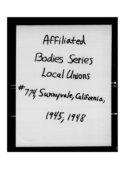Affiliated

## Bodies Series Local Unions

#774, Sunnyvale, California,

 $1945, 1948$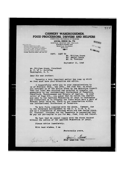## **CANNERY WAREHOUSEMEN, FOOD PROCESSORS, DRIVERS AND HELPERS**  INTERNATIONAL BROTHERHOOD OF TEAMSTERS

**LOCAL UNION No. 774**  SUNNYVALE - MOUNTAIN VIEW - PALO ALTO 272 SOUTH MURPHY AVE. SUNNYVALE, CALIFORNIA **PHONE 3461**  $-2000$ 

AFFILIATED WITH AMERICAN FEDERATION OF LABOR CALIFORNIA STATE FEDERATION OF LABOR UNION CARD & LABEL LEAGUE OF SACRAMENTO CALIFORNIA COUNCIL OF CANNERY UNIONS SANTA CLARA COUNTY CENTRAL LABOR COUNCIL WORKERS' EDUCATION BUREAU. NEW YORK CITY

SEP 1 7 1945

RECEIVED

 $74141$ 

**77 V** 

**ALIGUNS OFFICE** 

COPY: SENT TO

Mr. William Green Mr. Daniel Tobin Mr. M. Trobiner

September 11, 1945

Mr. William Green, President A. F. of L. Building Washington, D. C.

Dear Sir and Brother:

Recently a very important matter has come up which we feel must have your attention and advice.

I respectfully refer you to your communications to us of February 26th., Xay 15th., and June 5th. in which you informed us of the action teken by the Executive Council that our local was required end exnected to transfer our membership to the international Brotherhood of Teamsters, Chauffeurs, Warehousemen and Helpers of America. In your letter of June 5th., you asked that we return the charter and seal to the American Federation of Labor in Washington and authorized us to trensfer the funds which were a part of Federal Labor Union No. 33473 to our organization within the International 3rotherhood of Teamsters.

We have fully complied with the above. However, due to the threatned encroachment by the C. 1. O**.-F.** T. **A.**  and as a culmination of hearings which are now taking place, Mr. Trobiner, Attorney for the Teamsters is requesting that we pay our per-capita to you for May, June, July and August.

We feel that we cannot comply with the above request without the advice of the American Federation of Labor.

Please advice immediately.

 $\sqrt{2\pi}$ 

With best wiahea, I am

Istriner

Fraternally yours,

Freal a **Fred Laaa-Bua. Rep.**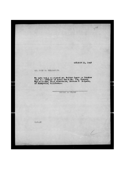**OCTOBER 11, 1945** 

274

MR. JOHN M. GILLESPIE:

We have today arrounted Mr. Walter Jones as Trustee<br>over the affairs of Local Union No. 774, Cannery<br>War-hous-men, Fold Processors, Drivers & Helpers,<br>of Sunnyvale, Chifornia.

THOMAS E. FLYNN

TEF: MW